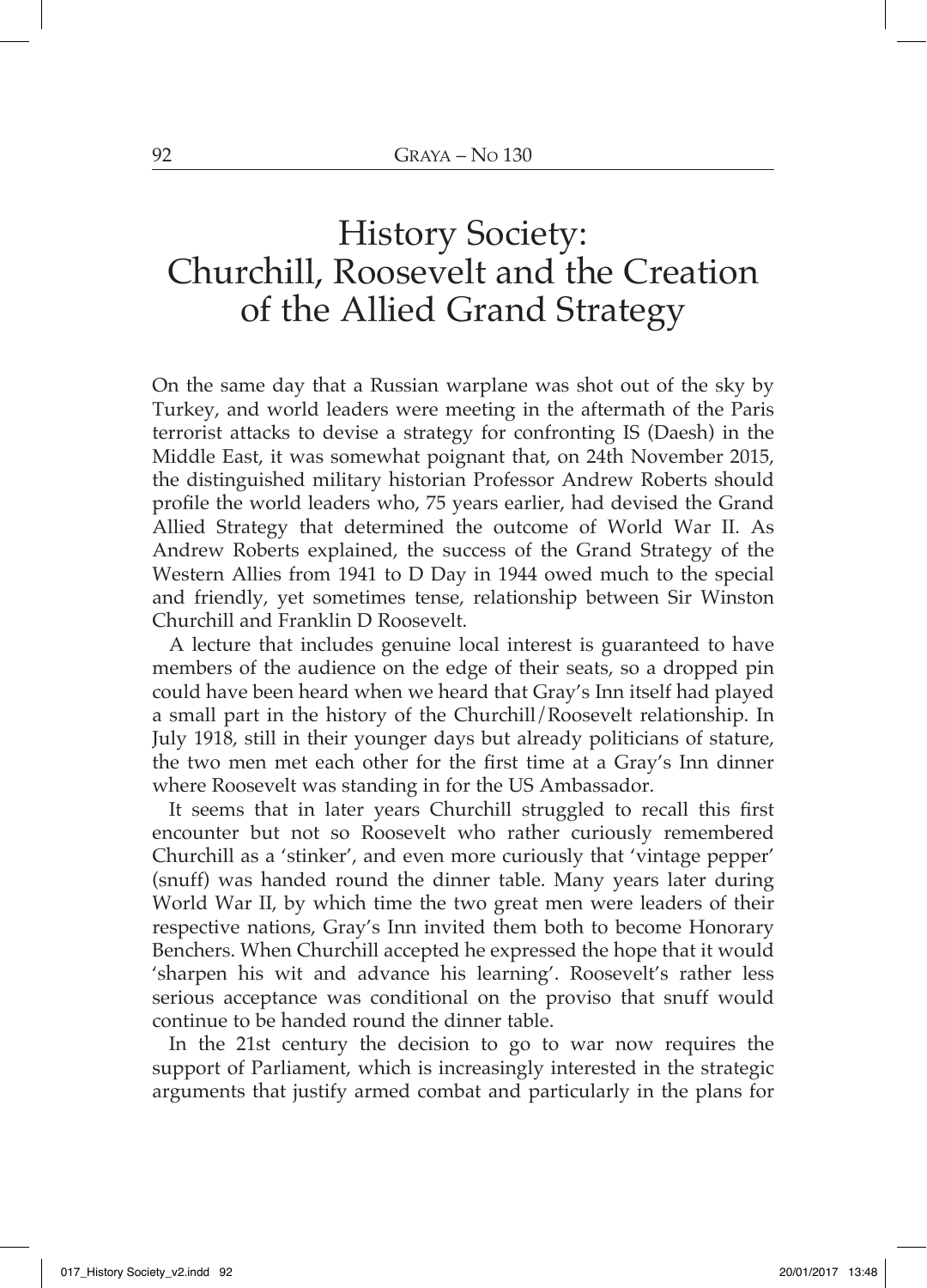## History Society: Churchill, Roosevelt and the Creation of the Allied Grand Strategy

On the same day that a Russian warplane was shot out of the sky by Turkey, and world leaders were meeting in the aftermath of the Paris terrorist attacks to devise a strategy for confronting IS (Daesh) in the Middle East, it was somewhat poignant that, on 24th November 2015, the distinguished military historian Professor Andrew Roberts should profile the world leaders who, 75 years earlier, had devised the Grand Allied Strategy that determined the outcome of World War II. As Andrew Roberts explained, the success of the Grand Strategy of the Western Allies from 1941 to D Day in 1944 owed much to the special and friendly, yet sometimes tense, relationship between Sir Winston Churchill and Franklin D Roosevelt.

A lecture that includes genuine local interest is guaranteed to have members of the audience on the edge of their seats, so a dropped pin could have been heard when we heard that Gray's Inn itself had played a small part in the history of the Churchill/Roosevelt relationship. In July 1918, still in their younger days but already politicians of stature, the two men met each other for the first time at a Gray's Inn dinner where Roosevelt was standing in for the US Ambassador.

It seems that in later years Churchill struggled to recall this first encounter but not so Roosevelt who rather curiously remembered Churchill as a 'stinker', and even more curiously that 'vintage pepper' (snuff) was handed round the dinner table. Many years later during World War II, by which time the two great men were leaders of their respective nations, Gray's Inn invited them both to become Honorary Benchers. When Churchill accepted he expressed the hope that it would 'sharpen his wit and advance his learning'. Roosevelt's rather less serious acceptance was conditional on the proviso that snuff would continue to be handed round the dinner table.

In the 21st century the decision to go to war now requires the support of Parliament, which is increasingly interested in the strategic arguments that justify armed combat and particularly in the plans for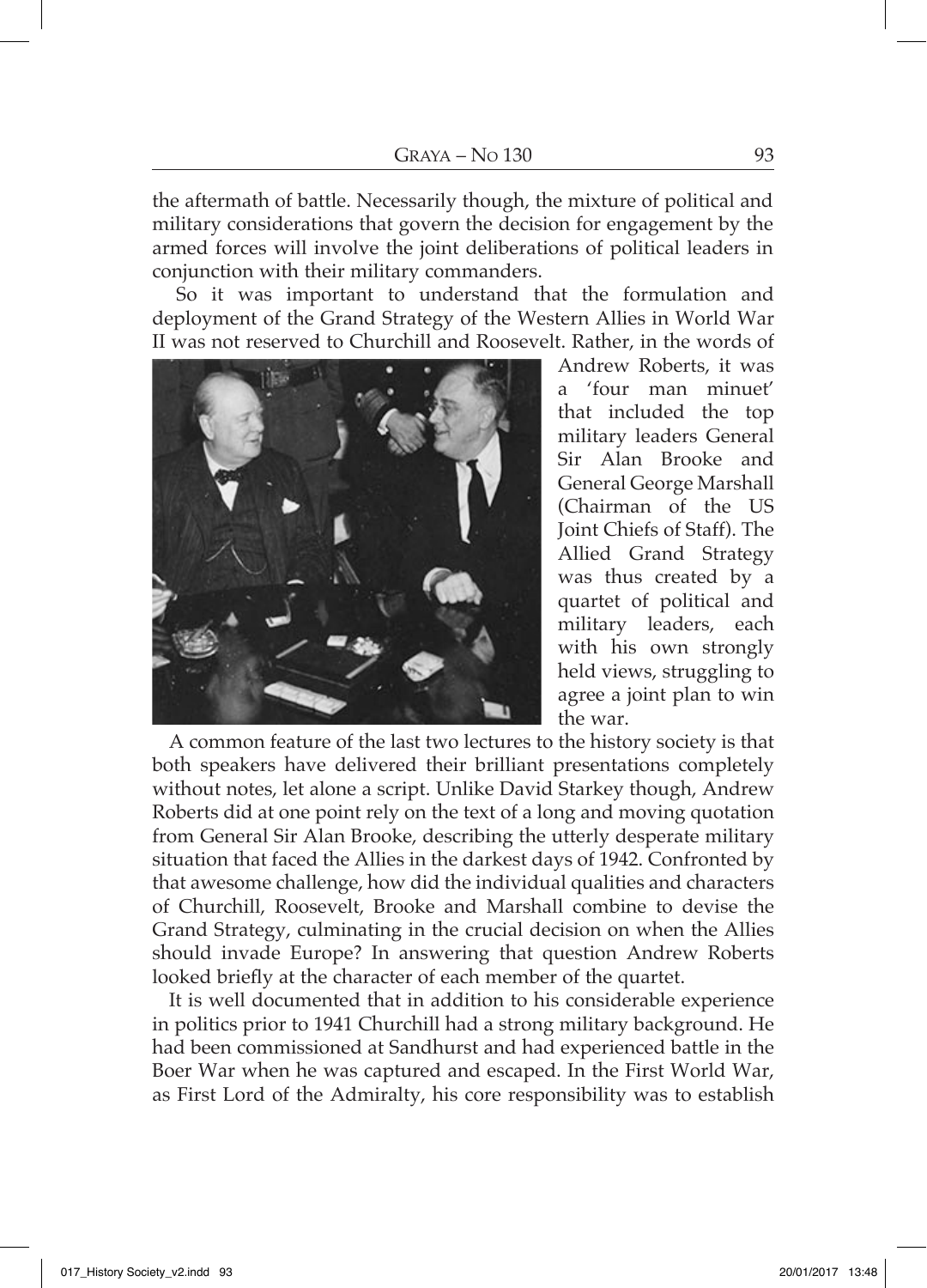the aftermath of battle. Necessarily though, the mixture of political and military considerations that govern the decision for engagement by the armed forces will involve the joint deliberations of political leaders in conjunction with their military commanders.

So it was important to understand that the formulation and deployment of the Grand Strategy of the Western Allies in World War II was not reserved to Churchill and Roosevelt. Rather, in the words of



Andrew Roberts, it was a 'four man minuet' that included the top military leaders General Sir Alan Brooke and General George Marshall (Chairman of the US Joint Chiefs of Staff). The Allied Grand Strategy was thus created by a quartet of political and military leaders, each with his own strongly held views, struggling to agree a joint plan to win the war.

A common feature of the last two lectures to the history society is that both speakers have delivered their brilliant presentations completely without notes, let alone a script. Unlike David Starkey though, Andrew Roberts did at one point rely on the text of a long and moving quotation from General Sir Alan Brooke, describing the utterly desperate military situation that faced the Allies in the darkest days of 1942. Confronted by that awesome challenge, how did the individual qualities and characters of Churchill, Roosevelt, Brooke and Marshall combine to devise the Grand Strategy, culminating in the crucial decision on when the Allies should invade Europe? In answering that question Andrew Roberts looked briefly at the character of each member of the quartet.

It is well documented that in addition to his considerable experience in politics prior to 1941 Churchill had a strong military background. He had been commissioned at Sandhurst and had experienced battle in the Boer War when he was captured and escaped. In the First World War, as First Lord of the Admiralty, his core responsibility was to establish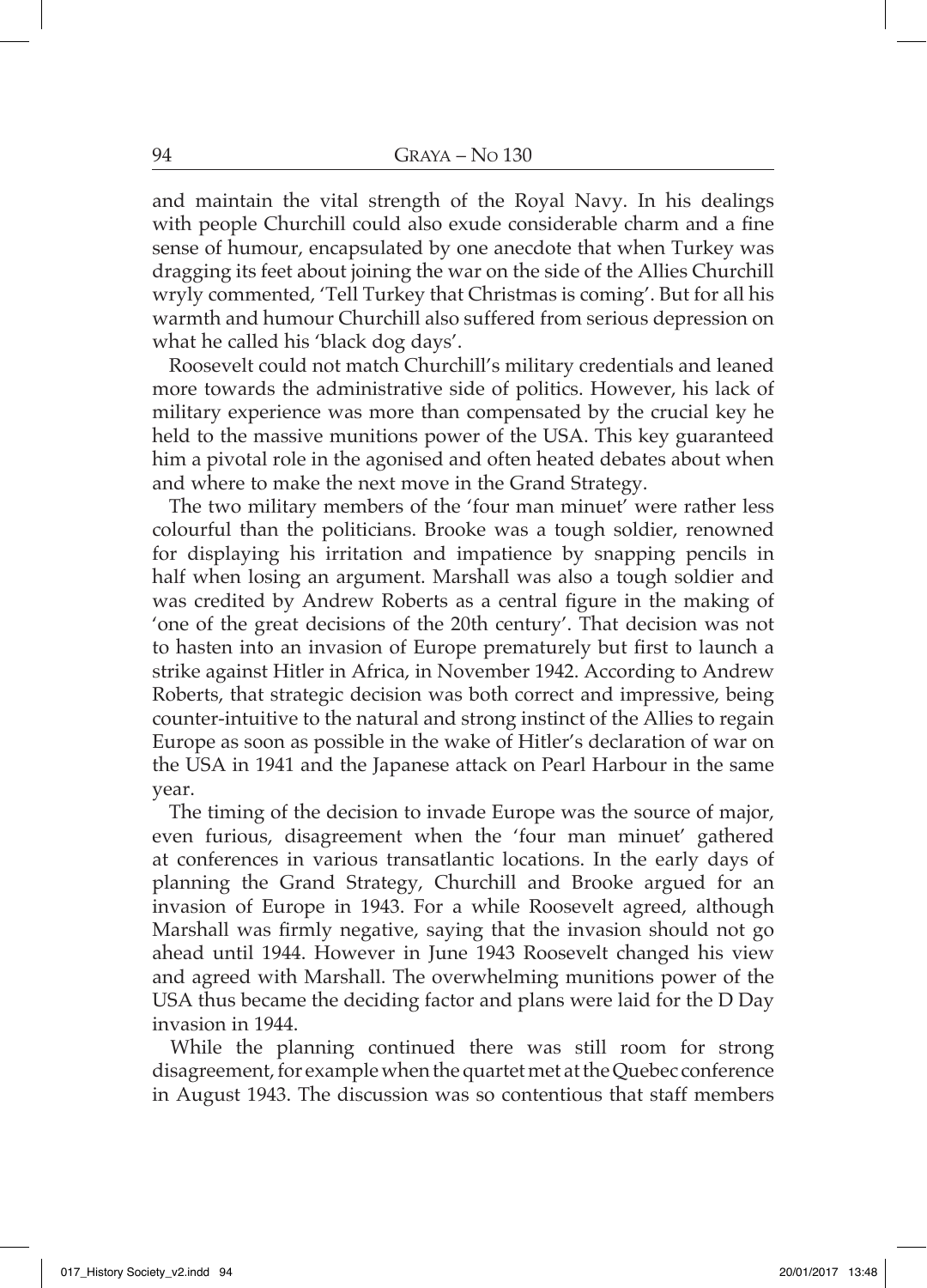and maintain the vital strength of the Royal Navy. In his dealings with people Churchill could also exude considerable charm and a fine sense of humour, encapsulated by one anecdote that when Turkey was dragging its feet about joining the war on the side of the Allies Churchill wryly commented, 'Tell Turkey that Christmas is coming'. But for all his warmth and humour Churchill also suffered from serious depression on what he called his 'black dog days'.

Roosevelt could not match Churchill's military credentials and leaned more towards the administrative side of politics. However, his lack of military experience was more than compensated by the crucial key he held to the massive munitions power of the USA. This key guaranteed him a pivotal role in the agonised and often heated debates about when and where to make the next move in the Grand Strategy.

The two military members of the 'four man minuet' were rather less colourful than the politicians. Brooke was a tough soldier, renowned for displaying his irritation and impatience by snapping pencils in half when losing an argument. Marshall was also a tough soldier and was credited by Andrew Roberts as a central figure in the making of 'one of the great decisions of the 20th century'. That decision was not to hasten into an invasion of Europe prematurely but first to launch a strike against Hitler in Africa, in November 1942. According to Andrew Roberts, that strategic decision was both correct and impressive, being counter-intuitive to the natural and strong instinct of the Allies to regain Europe as soon as possible in the wake of Hitler's declaration of war on the USA in 1941 and the Japanese attack on Pearl Harbour in the same year.

The timing of the decision to invade Europe was the source of major, even furious, disagreement when the 'four man minuet' gathered at conferences in various transatlantic locations. In the early days of planning the Grand Strategy, Churchill and Brooke argued for an invasion of Europe in 1943. For a while Roosevelt agreed, although Marshall was firmly negative, saying that the invasion should not go ahead until 1944. However in June 1943 Roosevelt changed his view and agreed with Marshall. The overwhelming munitions power of the USA thus became the deciding factor and plans were laid for the D Day invasion in 1944.

While the planning continued there was still room for strong disagreement, for example when the quartet met at the Quebec conference in August 1943. The discussion was so contentious that staff members